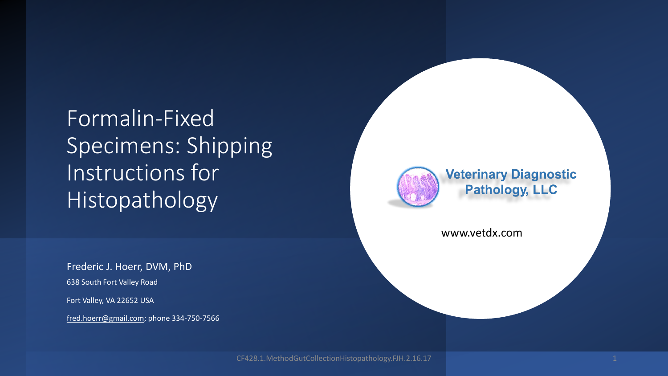Formalin-Fixed Specimens: Shipping Instructions for Histopathology

Frederic J. Hoerr, DVM, PhD 638 South Fort Valley Road

Fort Valley, VA 22652 USA

[fred.hoerr@gmail.com](mailto:fred.hoerr@gmail.com); phone 334-750-7566



**Veterinary Diagnostic Pathology, LLC** 

www.vetdx.com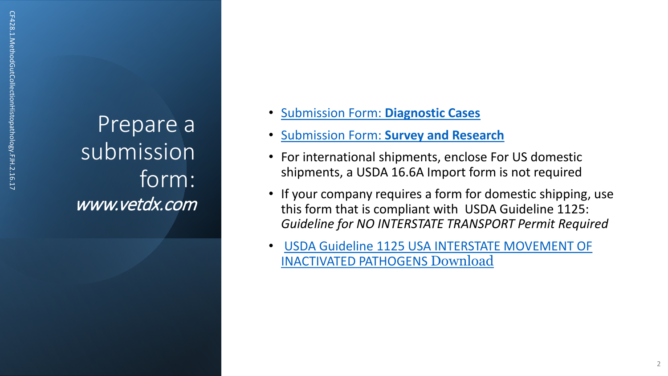Prepare a submission form: www.vetdx.com

- [Submission Form:](https://www.vetdx.com/wp-content/uploads/2017/08/CF.201.4.SubmissionFormDiagnosticCases.FJH_.08.02.17.docx) **Diagnostic Cases**
- Submission Form: **[Survey and Research](https://www.vetdx.com/wp-content/uploads/2017/08/CF.202.4.SubmissionFormSurvey_Research.FJH_.08.01.17-1.xlsx)**
- For international shipments, enclose For US domestic shipments, a USDA 16.6A Import form is not required
- If your company requires a form for domestic shipping, use this form that is compliant with USDA Guideline 1125: *Guideline for NO INTERSTATE TRANSPORT Permit Required*
- USDA Guideline 1125 USA INTERSTATE MOVEMENT OF INACTIVATED PATHOGENS Download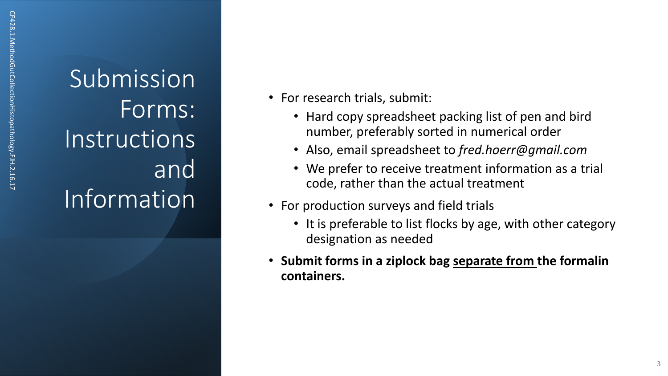Submission Forms: Instructions and Information

- For research trials, submit:
	- Hard copy spreadsheet packing list of pen and bird number, preferably sorted in numerical order
	- Also, email spreadsheet to *fred.hoerr@gmail.com*
	- We prefer to receive treatment information as a trial code, rather than the actual treatment
- For production surveys and field trials
	- It is preferable to list flocks by age, with other category designation as needed
- **Submit forms in a ziplock bag separate from the formalin containers.**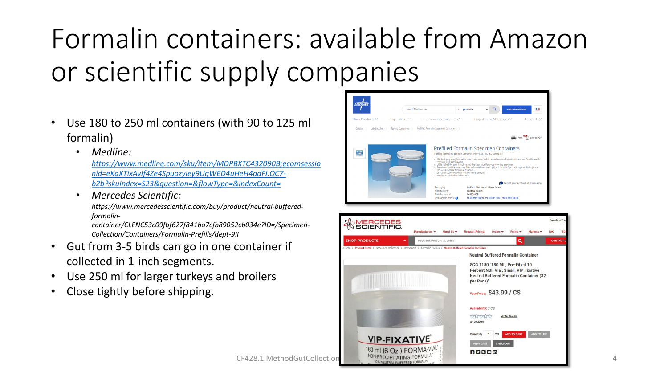# Formalin containers: available from Amazon or scientific supply companies

- Use 180 to 250 ml containers (with 90 to 125 ml formalin)
	- *Medline:*

*[https://www.medline.com/sku/item/MDPBXTC432090B;ecomsessio](https://www.medline.com/sku/item/MDPBXTC432090B;ecomsessionid=eKaXTixAvIf4Ze4Spuozyiey9UqWED4uHeH4adFJ.OC7-b2b?skuIndex=S23&question=&flowType=&indexCount=) nid=eKaXTixAvIf4Ze4Spuozyiey9UqWED4uHeH4adFJ.OC7 b2b?skuIndex=S23&question=&flowType=&indexCount=*

• *Mercedes Scientific:* 

*https://www.mercedesscientific.com/buy/product/neutral-bufferedformalin-*

*container/CLENC53c09fbf627f841ba7cfb89052cb034e?ID=/Specimen-Collection/Containers/Formalin-Prefills/dept-9II*

- Gut from 3-5 birds can go in one container if collected in 1-inch segments.
- Use 250 ml for larger turkeys and broilers
- Close tightly before shipping.



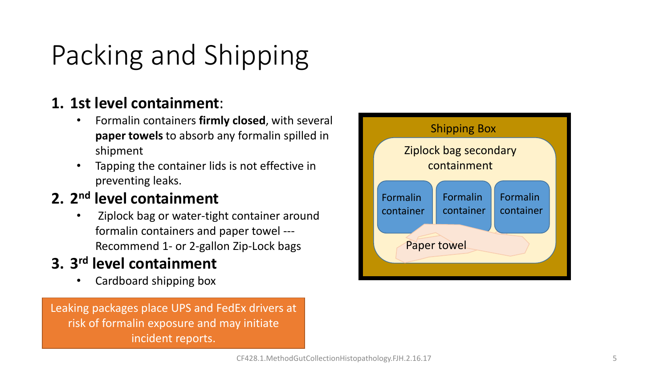# Packing and Shipping

#### **1. 1st level containment**:

- Formalin containers **firmly closed**, with several **paper towels** to absorb any formalin spilled in shipment
- Tapping the container lids is not effective in preventing leaks.

#### **2. 2nd level containment**

• Ziplock bag or water-tight container around formalin containers and paper towel --- Recommend 1- or 2-gallon Zip-Lock bags

#### **3. 3rd level containment**

• Cardboard shipping box

Leaking packages place UPS and FedEx drivers at risk of formalin exposure and may initiate incident reports.

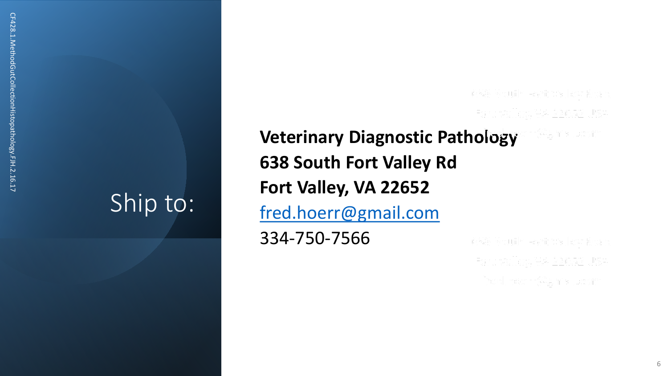## Ship to:

638 South Fort Valley Road Fort Valley, VA 22652 USA

### **Veterinary Diagnostic Pathology 638 South Fort Valley Rd Fort Valley, VA 22652** [fred.hoerr@gmail.com](mailto:fred.hoerr@gmail.com) 334 -750 -7566

638 South Fort Valley Road Fort Valley, VA 22652 USA fred.hoerr@gmail.com